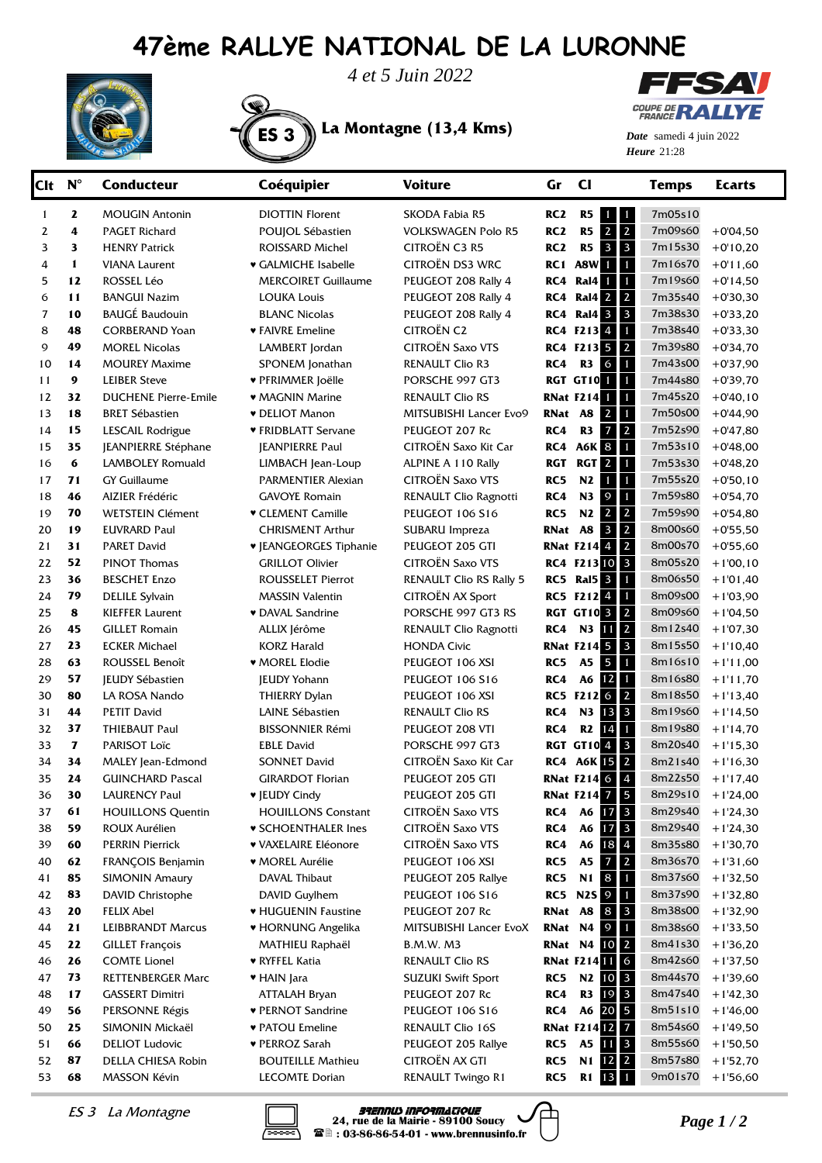## **47ème RALLYE NATIONAL DE LA LURONNE**





ES 3 **La Montagne (13,4 Kms)**



**Heure** 21:28 *Date* samedi 4 juin 2022

| Clt      | $N^{\circ}$  | <b>Conducteur</b>                                  | Coéquipier                          | <b>Voiture</b>                              | Gr              | $\mathsf{C}$                                       | <b>Temps</b>       | <b>Ecarts</b>            |
|----------|--------------|----------------------------------------------------|-------------------------------------|---------------------------------------------|-----------------|----------------------------------------------------|--------------------|--------------------------|
| 1        | $\mathbf{z}$ | <b>MOUGIN Antonin</b>                              | <b>DIOTTIN Florent</b>              | SKODA Fabia R5                              | RC <sub>2</sub> | R <sub>5</sub><br>$\mathbf \Phi$<br>$\mathbf{1}$   | 7m05s10            |                          |
| 2        | 4            | PAGET Richard                                      | POUJOL Sébastien                    | <b>VOLKSWAGEN Polo R5</b>                   | RC <sub>2</sub> | $\overline{2}$<br>$\overline{2}$<br>R <sub>5</sub> | 7m09s60            | $+0'04,50$               |
| 3        | 3            | <b>HENRY Patrick</b>                               | ROISSARD Michel                     | CITROËN C3 R5                               | RC <sub>2</sub> | $\overline{\mathbf{3}}$<br>$\mathbf{3}$<br>R5      | 7m15s30            | $+0'10,20$               |
| 4        | $\mathbf{1}$ | <b>VIANA Laurent</b>                               | ♥ GALMICHE Isabelle                 | CITROËN DS3 WRC                             |                 | RC1 A8W<br>П<br>$\mathbf{1}$                       | 7m16s70            | $+0.11,60$               |
| 5        | 12           | ROSSEL Léo                                         | <b>MERCOIRET Guillaume</b>          | PEUGEOT 208 Rally 4                         | RC4             | Ral4<br>$\mathbf{1}$<br>$\mathbf{1}$               | 7m19s60            | $+0'14,50$               |
| 6        | 11           | <b>BANGUI Nazim</b>                                | <b>LOUKA Louis</b>                  | PEUGEOT 208 Rally 4                         | RC4             | $\overline{2}$<br><b>Ral4</b> 2                    | 7m35s40            | $+0'30,30$               |
| 7        | 10           | <b>BAUGÉ Baudouin</b>                              | <b>BLANC Nicolas</b>                | PEUGEOT 208 Rally 4                         | RC4             | $\overline{\mathbf{3}}$<br><b>Ral4 3</b>           | 7m38s30            | $+0'33,20$               |
| 8        | 48           | <b>CORBERAND Yoan</b>                              | ♥ FAIVRE Emeline                    | <b>CITROËN C2</b>                           |                 | RC4 F2134<br>$\mathbf{1}$                          | 7m38s40            | $+0'33,30$               |
| 9        | 49           | <b>MOREL Nicolas</b>                               | LAMBERT Jordan                      | <b>CITROËN Saxo VTS</b>                     |                 | $\overline{2}$<br>RC4 F213 5                       | 7m39s80            | $+0'34,70$               |
| 10       | 14           | <b>MOUREY Maxime</b>                               | SPONEM Jonathan                     | <b>RENAULT Clio R3</b>                      | RC4             | 6<br>R3<br>$\mathbf{1}$                            | 7m43s00            | $+0'37,90$               |
| 11       | 9            | <b>LEIBER Steve</b>                                | ♥ PFRIMMER Joëlle                   | PORSCHE 997 GT3                             |                 | RGT GT10 <sup>1</sup><br>П                         | 7m44s80            | $+0'39,70$               |
| 12       | 32           | <b>DUCHENE Pierre-Emile</b>                        | • MAGNIN Marine                     | <b>RENAULT Clio RS</b>                      |                 | <b>RNat F214 1</b><br>$\mathbf{1}$                 | 7m45s20            | $+0'40,10$               |
| 13       | 18           | <b>BRET Sébastien</b>                              | <b>v</b> DELIOT Manon               | MITSUBISHI Lancer Evo9                      | RNat            | <b>A8</b><br>$\overline{2}$<br>$\mathbf{1}$        | 7m50s00            | $+0'44,90$               |
| 14       | 15           | LESCAIL Rodrigue                                   | ♥ FRIDBLATT Servane                 | PEUGEOT 207 Rc                              | RC4             | $\overline{2}$<br>R3<br>$\overline{7}$             | 7m52s90            | $+0'47,80$               |
| 15       | 35           | JEANPIERRE Stéphane                                | <b>JEANPIERRE Paul</b>              | CITROËN Saxo Kit Car                        | RC4             | <b>A6K 8</b><br>$\mathbf{1}$                       | 7m53s10            | $+0'48,00$               |
| 16       | 6            | <b>LAMBOLEY Romuald</b>                            | LIMBACH Jean-Loup                   | ALPINE A 110 Rally                          | RGT             | RGT <sub>2</sub><br>$\mathbf{1}$                   | 7m53s30            | $+0'48,20$               |
| 17       | 71           | <b>GY Guillaume</b>                                | <b>PARMENTIER Alexian</b>           | <b>CITROËN Saxo VTS</b>                     | RC5             | N2<br>$\mathbf{1}$<br>$\mathbf{1}$                 | 7m55s20            | $+0'50,10$               |
| 18       | 46           | AIZIER Frédéric                                    | <b>GAVOYE Romain</b>                | RENAULT Clio Ragnotti                       | RC4             | $\overline{9}$<br>N3<br>$\mathbf{1}$               | 7m59s80            | $+0'54,70$               |
| 19       | 70           | <b>WETSTEIN Clément</b>                            | <b>v</b> CLEMENT Camille            | PEUGEOT 106 S16                             | RC5             | $\overline{2}$<br>N2<br>$\overline{2}$             | 7m59s90            | $+0'54,80$               |
| 20       | 19           | <b>EUVRARD Paul</b>                                | <b>CHRISMENT Arthur</b>             | SUBARU Impreza                              | RNat            | $\overline{2}$<br><b>A8</b><br>$\mathbf{3}$        | 8m00s60            | $+0'55,50$               |
| 21       | 31           | <b>PARET David</b>                                 | <b>V   EANGEORGES Tiphanie</b>      | PEUGEOT 205 GTI                             |                 | $\overline{2}$<br><b>RNat F214 4</b>               | 8m00s70            | $+0'55,60$               |
| 22       | 52           | <b>PINOT Thomas</b>                                | <b>GRILLOT Olivier</b>              | <b>CITROËN Saxo VTS</b>                     |                 | RC4 F21310 3                                       | 8m05s20            | $+1'00,10$               |
| 23       | 36           | <b>BESCHET Enzo</b>                                | <b>ROUSSELET Pierrot</b>            | <b>RENAULT Clio RS Rally 5</b>              |                 | <b>RC5 Ral5 3</b><br>$\mathbf{1}$                  | 8m06s50            | $+1'01,40$               |
| 24       | 79           | <b>DELILE Sylvain</b>                              | <b>MASSIN Valentin</b>              | CITROËN AX Sport                            |                 | RC5 F2124<br>$\mathbf{1}$                          | 8m09s00            | $+1'03,90$               |
| 25       | 8            | <b>KIEFFER Laurent</b>                             | ♥ DAVAL Sandrine                    | PORSCHE 997 GT3 RS                          |                 | $\overline{2}$<br><b>RGT GT10 3</b>                | 8m09s60            | $+1'04,50$               |
| 26       | 45           | <b>GILLET Romain</b>                               | ALLIX Jérôme                        | RENAULT Clio Ragnotti                       | RC4             | $\overline{2}$<br>N3<br>11                         | 8m12s40            | $+1'07,30$               |
| 27       | 23           | <b>ECKER Michael</b>                               | <b>KORZ Harald</b>                  | <b>HONDA Civic</b>                          |                 | $\overline{\mathbf{3}}$<br><b>RNat F214 5</b>      | 8m15s50            | $+1'10,40$               |
| 28       | 63           | ROUSSEL Benoît                                     | $\bullet$ MOREL Elodie              | PEUGEOT 106 XSI                             | RC5             | <b>A5</b><br>5<br>$\mathbf{1}$                     | 8m16s10            | $+1'11,00$               |
| 29       | 57           | <b>JEUDY Sébastien</b>                             | <b>JEUDY Yohann</b>                 | PEUGEOT 106 S16                             | RC4             | A6<br>12<br>$\mathbf{1}$                           | 8m16s80            | $+1'11,70$               |
| 30       | 80           | LA ROSA Nando                                      | <b>THIERRY Dylan</b>                | PEUGEOT 106 XSI                             |                 | RC5 F212 6<br>$\overline{2}$                       | 8m18s50            | $+1'13,40$               |
| 31       | 44           | <b>PETIT David</b>                                 | LAINE Sébastien                     | <b>RENAULT Clio RS</b>                      | RC4             | $\overline{\mathbf{3}}$<br>N3<br>13                | 8m19s60            | $+1'14,50$               |
| 32       | 37           | <b>THIEBAUT Paul</b>                               | <b>BISSONNIER Rémi</b>              | PEUGEOT 208 VTI                             | RC4             | R <sub>2</sub><br>14<br>$\mathbf{1}$               | 8m19s80            | $+1'14,70$               |
| 33       | 7            | PARISOT Loïc                                       | <b>EBLE David</b>                   | PORSCHE 997 GT3                             |                 | <b>RGT GT104</b><br>$\overline{\mathbf{3}}$        | 8m20s40            | $+1'15,30$               |
| 34       | 34           | MALEY Jean-Edmond                                  | <b>SONNET David</b>                 | CITROËN Saxo Kit Car                        | RC4             | $\overline{2}$<br><b>A6K 15</b>                    | 8m21s40            | $+1'16,30$               |
| 35       | 24           | <b>GUINCHARD Pascal</b>                            | <b>GIRARDOT Florian</b>             | PEUGEOT 205 GTI                             |                 | $\overline{4}$<br><b>RNat F214 6</b>               | 8m22s50            | $+1'17,40$               |
| 36       | 30           | <b>LAURENCY Paul</b>                               | ▼ JEUDY Cindy                       | PEUGEOT 205 GTI                             |                 | <b>RNat F2147</b><br>$\overline{\mathbf{5}}$       | 8m29s10            | $+1'24,00$               |
| 37       | 61           | <b>HOUILLONS Quentin</b>                           | <b>HOUILLONS Constant</b>           | CITROËN Saxo VTS                            | RC4             | A6 17 3                                            | 8m29s40            | $+1'24,30$               |
| 38       | 59           | ROUX Aurélien                                      | <b>v SCHOENTHALER Ines</b>          | <b>CITROËN Saxo VTS</b>                     | RC4             | A6 17 3                                            | 8m29s40            | $+1'24,30$               |
| 39       | 60           | <b>PERRIN Pierrick</b>                             | ♥ VAXELAIRE Eléonore                | CITROËN Saxo VTS                            | RC4             | 184<br>A6                                          | 8m35s80            | $+1'30,70$               |
| 40       | 62           | FRANÇOIS Benjamin                                  | ♥ MOREL Aurélie                     | PEUGEOT 106 XSI                             | RC5             | A <sub>5</sub><br>$\overline{7}$<br>$\overline{2}$ | 8m36s70            | $+1'31,60$               |
| 41       | 85           | <b>SIMONIN Amaury</b>                              | DAVAL Thibaut                       | PEUGEOT 205 Rallye                          | RC5             | 8<br>N1<br>$\blacksquare$                          | 8m37s60            | $+1'32,50$               |
| 42       | 83           | DAVID Christophe                                   | DAVID Guylhem                       | PEUGEOT 106 S16                             |                 | <b>RC5 N2S 9</b><br>$\mathbf{1}$                   | 8m37s90            | $+1'32,80$               |
| 43       | 20           | <b>FELIX Abel</b>                                  | ♥ HUGUENIN Faustine                 | PEUGEOT 207 Rc                              | RNat A8         | 8<br>$\vert$ 3                                     | 8m38s00            | $+1'32,90$               |
| 44       | 21<br>22     | <b>LEIBBRANDT Marcus</b>                           | ♥ HORNUNG Angelika                  | MITSUBISHI Lancer EvoX                      | RNat N4         | 9<br>$\mathbf{1}$                                  | 8m38s60<br>8m41s30 | $+1'33,50$               |
| 45       | 26           | <b>GILLET François</b>                             | MATHIEU Raphaël                     | <b>B.M.W. M3</b>                            |                 | <b>RNat N4 10 2</b>                                | 8m42s60            | $+1'36,20$               |
| 46       | 73           | <b>COMTE Lionel</b>                                | ♥ RYFFEL Katia                      | <b>RENAULT Clio RS</b>                      |                 | <b>RNat F21411 6</b><br>RC5 N2 10 3                | 8m44s70            | $+1'37,50$               |
| 47<br>48 | 17           | <b>RETTENBERGER Marc</b><br><b>GASSERT Dimitri</b> | ♥ HAIN Jara<br><b>ATTALAH Bryan</b> | <b>SUZUKI Swift Sport</b><br>PEUGEOT 207 Rc | RC4             | R <sub>3</sub><br>19<br>$\overline{\mathbf{3}}$    | 8m47s40            | $+1'39,60$<br>$+1'42,30$ |
| 49       | 56           | PERSONNE Régis                                     | ♥ PERNOT Sandrine                   | PEUGEOT 106 S16                             | RC4             | A6 20 5                                            | 8m51s10            | $+1'46,00$               |
| 50       | 25           | SIMONIN Mickaël                                    | ♥ PATOU Emeline                     | <b>RENAULT Clio 16S</b>                     |                 | <b>RNat F21412 7</b>                               | 8m54s60            | $+1'49,50$               |
| 51       | 66           | <b>DELIOT Ludovic</b>                              | ♥ PERROZ Sarah                      | PEUGEOT 205 Rallye                          |                 | RC5 A5 11 3                                        | 8m55s60            | $+1'50,50$               |
| 52       | 87           | DELLA CHIESA Robin                                 | <b>BOUTEILLE Mathieu</b>            | CITROËN AX GTI                              | RC5             | N1<br>$12 \quad 2$                                 | 8m57s80            | $+1'52,70$               |
| 53       | 68           | MASSON Kévin                                       | <b>LECOMTE Dorian</b>               | RENAULT Twingo R1                           | RC5             | $13 \mid 1$<br>$R1$                                | 9m01s70            | $+1'56,60$               |
|          |              |                                                    |                                     |                                             |                 |                                                    |                    |                          |